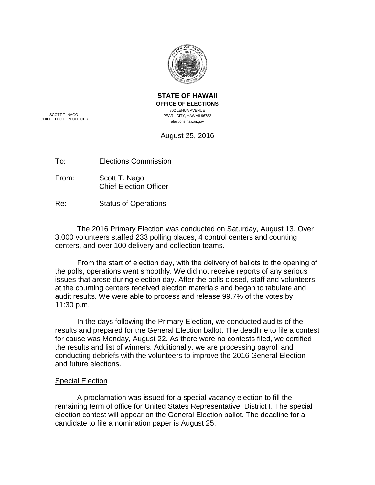

**STATE OF HAWAII OFFICE OF ELECTIONS** 802 LEHUA AVENUE PEARL CITY, HAWAII 96782 elections.hawaii.gov

SCOTT T. NAGO CHIEF ELECTION OFFICER

August 25, 2016

To: Elections Commission

From: Scott T. Nago Chief Election Officer

Re: Status of Operations

The 2016 Primary Election was conducted on Saturday, August 13. Over 3,000 volunteers staffed 233 polling places, 4 control centers and counting centers, and over 100 delivery and collection teams.

From the start of election day, with the delivery of ballots to the opening of the polls, operations went smoothly. We did not receive reports of any serious issues that arose during election day. After the polls closed, staff and volunteers at the counting centers received election materials and began to tabulate and audit results. We were able to process and release 99.7% of the votes by 11:30 p.m.

In the days following the Primary Election, we conducted audits of the results and prepared for the General Election ballot. The deadline to file a contest for cause was Monday, August 22. As there were no contests filed, we certified the results and list of winners. Additionally, we are processing payroll and conducting debriefs with the volunteers to improve the 2016 General Election and future elections.

## Special Election

A proclamation was issued for a special vacancy election to fill the remaining term of office for United States Representative, District I. The special election contest will appear on the General Election ballot. The deadline for a candidate to file a nomination paper is August 25.